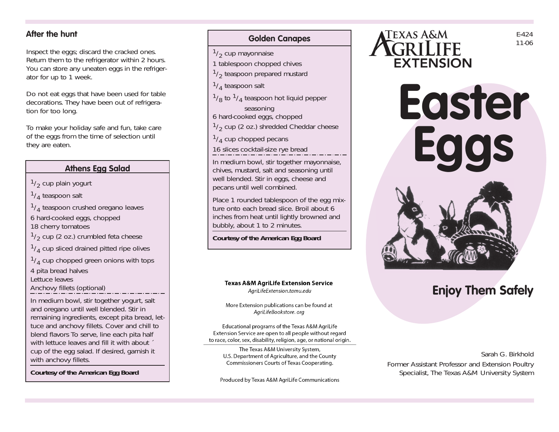### **After the hunt**

Inspect the eggs; discard the cracked ones. Return them to the refrigerator within 2 hours. You can store any uneaten eggs in the refrigerator for up to 1 week.

Do not eat eggs that have been used for table decorations. They have been out of refrigeration for too long.

To make your holiday safe and fun, take care of the eggs from the time of selection until they are eaten.

#### **Athens Egg Salad**

 $\frac{1}{2}$  cup plain yogurt

 $1/4$  teaspoon salt

 $1/4$  teaspoon crushed oregano leaves

6 hard-cooked eggs, chopped

18 cherry tomatoes

 $\frac{1}{2}$  cup (2 oz.) crumbled feta cheese

 $\frac{1}{4}$  cup sliced drained pitted ripe olives

 $\frac{1}{4}$  cup chopped green onions with tops

4 pita bread halves

Lettuce leaves

Anchovy fillets (optional)

In medium bowl, stir together yogurt, salt and oregano until well blended. Stir in remaining ingredients, except pita bread, lettuce and anchovy fillets. Cover and chill to blend flavors To serve, line each pita half with lettuce leaves and fill it with about  $\check{\phantom{a}}$ cup of the egg salad. If desired, garnish it with anchovy fillets.

*Courtesy of the American Egg Board*



 $1/2$  cup mayonnaise

- 1 tablespoon chopped chives
- $1/2$  teaspoon prepared mustard
- $\frac{1}{4}$  teaspoon salt
- $\frac{1}{8}$  to  $\frac{1}{4}$  teaspoon hot liquid pepper seasoning
- 6 hard-cooked eggs, chopped
- $1/2$  cup (2 oz.) shredded Cheddar cheese

 $1/4$  cup chopped pecans

16 slices cocktail-size rye bread

In medium bowl, stir together mayonnaise, chives, mustard, salt and seasoning until well blended. Stir in eggs, cheese and pecans until well combined.

Place 1 rounded tablespoon of the egg mixture onto each bread slice. Broil about 6 inches from heat until lightly browned and bubbly, about 1 to 2 minutes.

*Courtesy of the American Egg Board*

#### **Texas A&M AgriLife Extension Service** AariLifeExtension.tamu.edu

More Extension publications can be found at AgriLifeBookstore.org

Educational programs of the Texas A&M AgriLife Extension Service are open to all people without regard to race, color, sex, disability, religion, age, or national origin.

The Texas A&M University System, U.S. Department of Agriculture, and the County Commissioners Courts of Texas Cooperating.

Produced by Texas A&M AgriLife Communications







# **Enjoy Them Safely**

Sarah G. Birkhold Former Assistant Professor and Extension Poultry Specialist, The Texas A&M University System

E-424 11-06